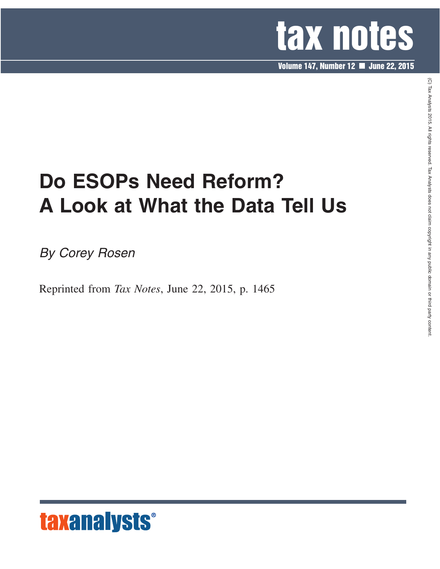

**Volume 147, Number 12 June 22, 2015**

# **Do ESOPs Need Reform? A Look at What the Data Tell Us**

*By Corey Rosen*

Reprinted from *Tax Notes*, June 22, 2015, p. 1465



 $\widehat{\Omega}$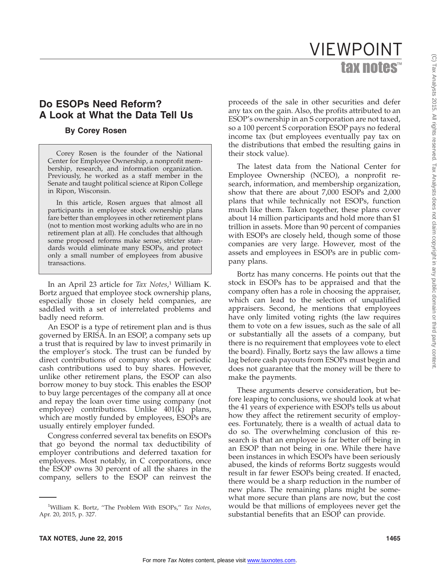## tax notes™ VIEWPOINT

### **Do ESOPs Need Reform? A Look at What the Data Tell Us**

#### **By Corey Rosen**

Corey Rosen is the founder of the National Center for Employee Ownership, a nonprofit membership, research, and information organization. Previously, he worked as a staff member in the Senate and taught political science at Ripon College in Ripon, Wisconsin.

In this article, Rosen argues that almost all participants in employee stock ownership plans fare better than employees in other retirement plans (not to mention most working adults who are in no retirement plan at all). He concludes that although some proposed reforms make sense, stricter standards would eliminate many ESOPs, and protect only a small number of employees from abusive transactions.

In an April 23 article for *Tax Notes*, <sup>1</sup> William K. Bortz argued that employee stock ownership plans, especially those in closely held companies, are saddled with a set of interrelated problems and badly need reform.

An ESOP is a type of retirement plan and is thus governed by ERISA. In an ESOP, a company sets up a trust that is required by law to invest primarily in the employer's stock. The trust can be funded by direct contributions of company stock or periodic cash contributions used to buy shares. However, unlike other retirement plans, the ESOP can also borrow money to buy stock. This enables the ESOP to buy large percentages of the company all at once and repay the loan over time using company (not employee) contributions. Unlike 401(k) plans, which are mostly funded by employees, ESOPs are usually entirely employer funded.

Congress conferred several tax benefits on ESOPs that go beyond the normal tax deductibility of employer contributions and deferred taxation for employees. Most notably, in C corporations, once the ESOP owns 30 percent of all the shares in the company, sellers to the ESOP can reinvest the

proceeds of the sale in other securities and defer any tax on the gain. Also, the profits attributed to an ESOP's ownership in an S corporation are not taxed, so a 100 percent S corporation ESOP pays no federal income tax (but employees eventually pay tax on the distributions that embed the resulting gains in their stock value).

The latest data from the National Center for Employee Ownership (NCEO), a nonprofit research, information, and membership organization, show that there are about 7,000 ESOPs and 2,000 plans that while technically not ESOPs, function much like them. Taken together, these plans cover about 14 million participants and hold more than \$1 trillion in assets. More than 90 percent of companies with ESOPs are closely held, though some of those companies are very large. However, most of the assets and employees in ESOPs are in public company plans.

Bortz has many concerns. He points out that the stock in ESOPs has to be appraised and that the company often has a role in choosing the appraiser, which can lead to the selection of unqualified appraisers. Second, he mentions that employees have only limited voting rights (the law requires them to vote on a few issues, such as the sale of all or substantially all the assets of a company, but there is no requirement that employees vote to elect the board). Finally, Bortz says the law allows a time lag before cash payouts from ESOPs must begin and does not guarantee that the money will be there to make the payments.

These arguments deserve consideration, but before leaping to conclusions, we should look at what the 41 years of experience with ESOPs tells us about how they affect the retirement security of employees. Fortunately, there is a wealth of actual data to do so. The overwhelming conclusion of this research is that an employee is far better off being in an ESOP than not being in one. While there have been instances in which ESOPs have been seriously abused, the kinds of reforms Bortz suggests would result in far fewer ESOPs being created. If enacted, there would be a sharp reduction in the number of new plans. The remaining plans might be somewhat more secure than plans are now, but the cost would be that millions of employees never get the substantial benefits that an ESOP can provide.

<sup>1</sup> William K. Bortz, ''The Problem With ESOPs,'' *Tax Notes*, Apr. 20, 2015, p. 327.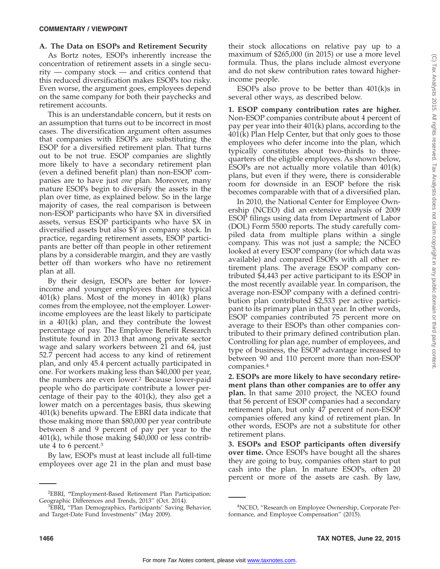#### **A. The Data on ESOPs and Retirement Security**

As Bortz notes, ESOPs inherently increase the concentration of retirement assets in a single security — company stock — and critics contend that this reduced diversification makes ESOPs too risky. Even worse, the argument goes, employees depend on the same company for both their paychecks and retirement accounts.

This is an understandable concern, but it rests on an assumption that turns out to be incorrect in most cases. The diversification argument often assumes that companies with ESOPs are substituting the ESOP for a diversified retirement plan. That turns out to be not true. ESOP companies are slightly more likely to have a secondary retirement plan (even a defined benefit plan) than non-ESOP companies are to have just *one* plan. Moreover, many mature ESOPs begin to diversify the assets in the plan over time, as explained below. So in the large majority of cases, the real comparison is between non-ESOP participants who have \$X in diversified assets, versus ESOP participants who have \$X in diversified assets but also \$Y in company stock. In practice, regarding retirement assets, ESOP participants are better off than people in other retirement plans by a considerable margin, and they are vastly better off than workers who have no retirement plan at all.

By their design, ESOPs are better for lowerincome and younger employees than are typical  $401(k)$  plans. Most of the money in  $401(k)$  plans comes from the employee, not the employer. Lowerincome employees are the least likely to participate in a 401(k) plan, and they contribute the lowest percentage of pay. The Employee Benefit Research Institute found in 2013 that among private sector wage and salary workers between 21 and 64, just 52.7 percent had access to any kind of retirement plan, and only 45.4 percent actually participated in one. For workers making less than \$40,000 per year, the numbers are even lower.2 Because lower-paid people who do participate contribute a lower percentage of their pay to the 401(k), they also get a lower match on a percentages basis, thus skewing 401(k) benefits upward. The EBRI data indicate that those making more than \$80,000 per year contribute between 8 and 9 percent of pay per year to the 401(k), while those making \$40,000 or less contribute 4 to 6 percent.3

By law, ESOPs must at least include all full-time employees over age 21 in the plan and must base

their stock allocations on relative pay up to a maximum of \$265,000 (in 2015) or use a more level formula. Thus, the plans include almost everyone and do not skew contribution rates toward higherincome people.

ESOPs also prove to be better than  $401(k)$ s in several other ways, as described below.

**1. ESOP company contribution rates are higher.** Non-ESOP companies contribute about 4 percent of pay per year into their 401(k) plans, according to the 401(k) Plan Help Center, but that only goes to those employees who defer income into the plan, which typically constitutes about two-thirds to threequarters of the eligible employees. As shown below, ESOPs are not actually more volatile than 401(k) plans, but even if they were**,** there is considerable room for downside in an ESOP before the risk becomes comparable with that of a diversified plan**.**

In 2010, the National Center for Employee Ownership (NCEO) did an extensive analysis of 2009 ESOP filings using data from Department of Labor (DOL) Form 5500 reports. The study carefully compiled data from multiple plans within a single company. This was not just a sample; the NCEO looked at every ESOP company (for which data was available) and compared ESOPs with all other retirement plans. The average ESOP company contributed \$4,443 per active participant to its ESOP in the most recently available year. In comparison, the average non-ESOP company with a defined contribution plan contributed \$2,533 per active participant to its primary plan in that year. In other words, ESOP companies contributed 75 percent more on average to their ESOPs than other companies contributed to their primary defined contribution plan. Controlling for plan age, number of employees, and type of business, the ESOP advantage increased to between 90 and 110 percent more than non-ESOP companies.4

**2. ESOPs are more likely to have secondary retirement plans than other companies are to offer any plan.** In that same 2010 project, the NCEO found that 56 percent of ESOP companies had a secondary retirement plan, but only 47 percent of non-ESOP companies offered any kind of retirement plan. In other words, ESOPs are not a substitute for other retirement plans.

**3. ESOPs and ESOP participants often diversify over time.** Once ESOPs have bought all the shares they are going to buy, companies often start to put cash into the plan. In mature ESOPs, often 20 percent or more of the assets are cash. By law,

<sup>2</sup> EBRI, **''**Employment-Based Retirement Plan Participation: Geographic Differences and Trends, 2013" (Oct. 2014).

EBRI**,** ''Plan Demographics, Participants' Saving Behavior, and Target-Date Fund Investments'' (May 2009).

<sup>4</sup> NCEO, ''Research on Employee Ownership, Corporate Performance, and Employee Compensation'' (2015).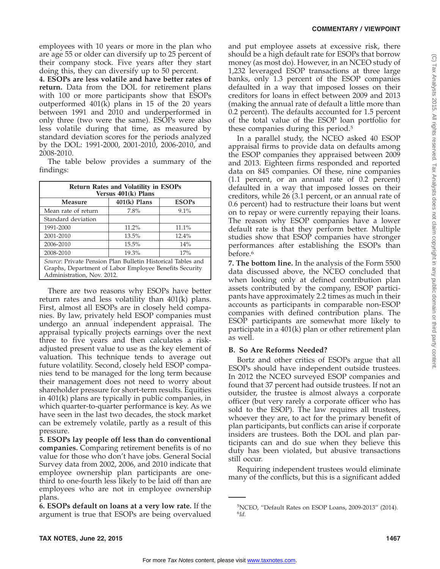#### **COMMENTARY / VIEWPOINT**

employees with 10 years or more in the plan who are age 55 or older can diversify up to 25 percent of their company stock. Five years after they start doing this, they can diversify up to 50 percent.

**4. ESOPs are less volatile and have better rates of return.** Data from the DOL for retirement plans with 100 or more participants show that ESOPs outperformed 401(k) plans in 15 of the 20 years between 1991 and 2010 and underperformed in only three (two were the same). ESOPs were also less volatile during that time, as measured by standard deviation scores for the periods analyzed by the DOL: 1991-2000, 2001-2010, 2006-2010, and 2008-2010.

The table below provides a summary of the findings:

| <b>Return Rates and Volatility in ESOPs</b><br>Versus $401(k)$ Plans                 |                |              |
|--------------------------------------------------------------------------------------|----------------|--------------|
| Measure                                                                              | $401(k)$ Plans | <b>ESOPs</b> |
| Mean rate of return                                                                  | 7.8%           | 9.1%         |
| Standard deviation                                                                   |                |              |
| 1991-2000                                                                            | 11.2%          | 11.1%        |
| 2001-2010                                                                            | 13.5%          | $12.4\%$     |
| 2006-2010                                                                            | $15.5\%$       | 14%          |
| 2008-2010                                                                            | 19.3%          | 17%          |
| Source: Private Pension Plan Bulletin Historical Tables and                          |                |              |
| Graphs, Department of Labor Employee Benefits Security<br>Administration, Nov. 2012. |                |              |

There are two reasons why ESOPs have better return rates and less volatility than 401(k) plans. First, almost all ESOPs are in closely held companies. By law, privately held ESOP companies must undergo an annual independent appraisal. The appraisal typically projects earnings over the next three to five years and then calculates a riskadjusted present value to use as the key element of valuation. This technique tends to average out future volatility. Second, closely held ESOP companies tend to be managed for the long term because their management does not need to worry about shareholder pressure for short-term results. Equities in 401(k) plans are typically in public companies, in which quarter-to-quarter performance is key. As we have seen in the last two decades, the stock market can be extremely volatile, partly as a result of this pressure.

**5. ESOPs lay people off less than do conventional companies.** Comparing retirement benefits is of no value for those who don't have jobs. General Social Survey data from 2002, 2006, and 2010 indicate that employee ownership plan participants are onethird to one-fourth less likely to be laid off than are employees who are not in employee ownership plans.

**6. ESOPs default on loans at a very low rate.** If the argument is true that ESOPs are being overvalued and put employee assets at excessive risk, there should be a high default rate for ESOPs that borrow money (as most do). However, in an NCEO study of 1,232 leveraged ESOP transactions at three large banks, only 1.3 percent of the ESOP companies defaulted in a way that imposed losses on their creditors for loans in effect between 2009 and 2013 (making the annual rate of default a little more than 0.2 percent). The defaults accounted for 1.5 percent of the total value of the ESOP loan portfolio for these companies during this period.5

In a parallel study, the NCEO asked 40 ESOP appraisal firms to provide data on defaults among the ESOP companies they appraised between 2009 and 2013. Eighteen firms responded and reported data on 845 companies. Of these, nine companies (1.1 percent, or an annual rate of 0.2 percent) defaulted in a way that imposed losses on their creditors, while 26 (3.1 percent, or an annual rate of 0.6 percent) had to restructure their loans but went on to repay or were currently repaying their loans. The reason why ESOP companies have a lower default rate is that they perform better. Multiple studies show that ESOP companies have stronger performances after establishing the ESOPs than before.<sup>6</sup>

**7. The bottom line.** In the analysis of the Form 5500 data discussed above, the NCEO concluded that when looking only at defined contribution plan assets contributed by the company, ESOP participants have approximately 2.2 times as much in their accounts as participants in comparable non-ESOP companies with defined contribution plans. The ESOP participants are somewhat more likely to participate in a 401(k) plan or other retirement plan as well.

#### **B. So Are Reforms Needed?**

Bortz and other critics of ESOPs argue that all ESOPs should have independent outside trustees. In 2012 the NCEO surveyed ESOP companies and found that 37 percent had outside trustees. If not an outsider, the trustee is almost always a corporate officer (but very rarely a corporate officer who has sold to the ESOP). The law requires all trustees, whoever they are, to act for the primary benefit of plan participants, but conflicts can arise if corporate insiders are trustees. Both the DOL and plan participants can and do sue when they believe this duty has been violated, but abusive transactions still occur.

Requiring independent trustees would eliminate many of the conflicts, but this is a significant added

<sup>5</sup> NCEO, ''Default Rates on ESOP Loans, 2009-2013'' (2014). 6 *Id.*